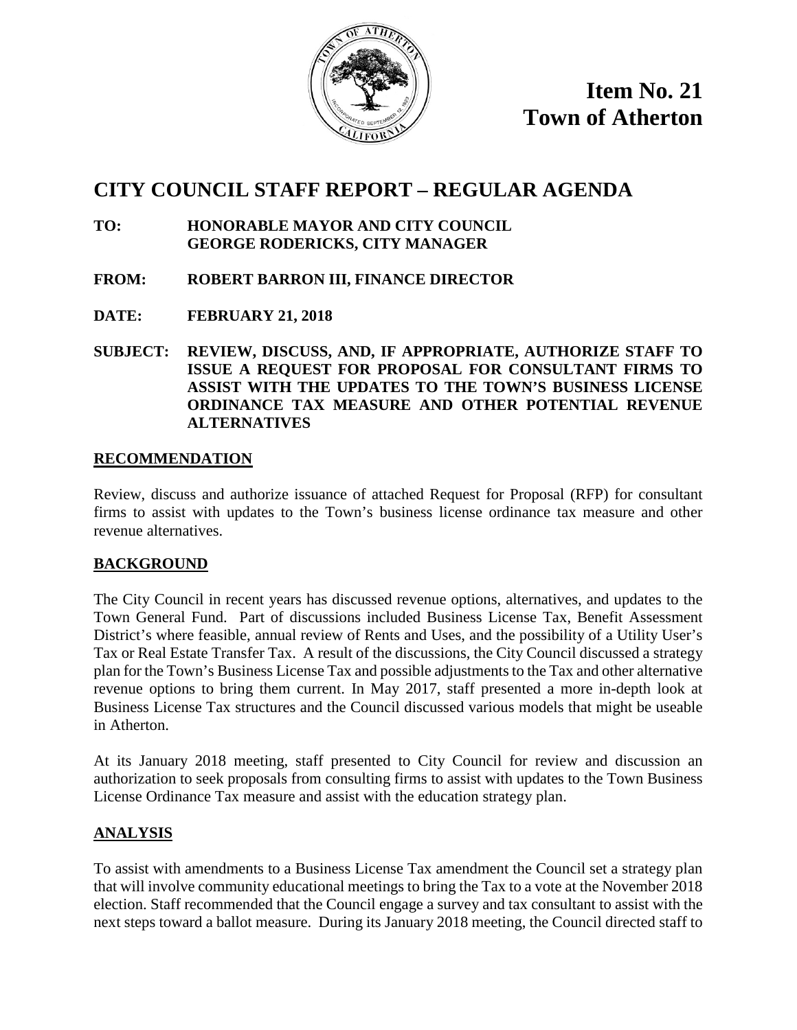

**Item No. 21 Town of Atherton**

### **CITY COUNCIL STAFF REPORT – REGULAR AGENDA**

- **TO: HONORABLE MAYOR AND CITY COUNCIL GEORGE RODERICKS, CITY MANAGER**
- **FROM: ROBERT BARRON III, FINANCE DIRECTOR**
- **DATE: FEBRUARY 21, 2018**
- **SUBJECT: REVIEW, DISCUSS, AND, IF APPROPRIATE, AUTHORIZE STAFF TO ISSUE A REQUEST FOR PROPOSAL FOR CONSULTANT FIRMS TO ASSIST WITH THE UPDATES TO THE TOWN'S BUSINESS LICENSE ORDINANCE TAX MEASURE AND OTHER POTENTIAL REVENUE ALTERNATIVES**

#### **RECOMMENDATION**

Review, discuss and authorize issuance of attached Request for Proposal (RFP) for consultant firms to assist with updates to the Town's business license ordinance tax measure and other revenue alternatives.

#### **BACKGROUND**

The City Council in recent years has discussed revenue options, alternatives, and updates to the Town General Fund. Part of discussions included Business License Tax, Benefit Assessment District's where feasible, annual review of Rents and Uses, and the possibility of a Utility User's Tax or Real Estate Transfer Tax. A result of the discussions, the City Council discussed a strategy plan for the Town's Business License Tax and possible adjustments to the Tax and other alternative revenue options to bring them current. In May 2017, staff presented a more in-depth look at Business License Tax structures and the Council discussed various models that might be useable in Atherton.

At its January 2018 meeting, staff presented to City Council for review and discussion an authorization to seek proposals from consulting firms to assist with updates to the Town Business License Ordinance Tax measure and assist with the education strategy plan.

#### **ANALYSIS**

To assist with amendments to a Business License Tax amendment the Council set a strategy plan that will involve community educational meetings to bring the Tax to a vote at the November 2018 election. Staff recommended that the Council engage a survey and tax consultant to assist with the next steps toward a ballot measure. During its January 2018 meeting, the Council directed staff to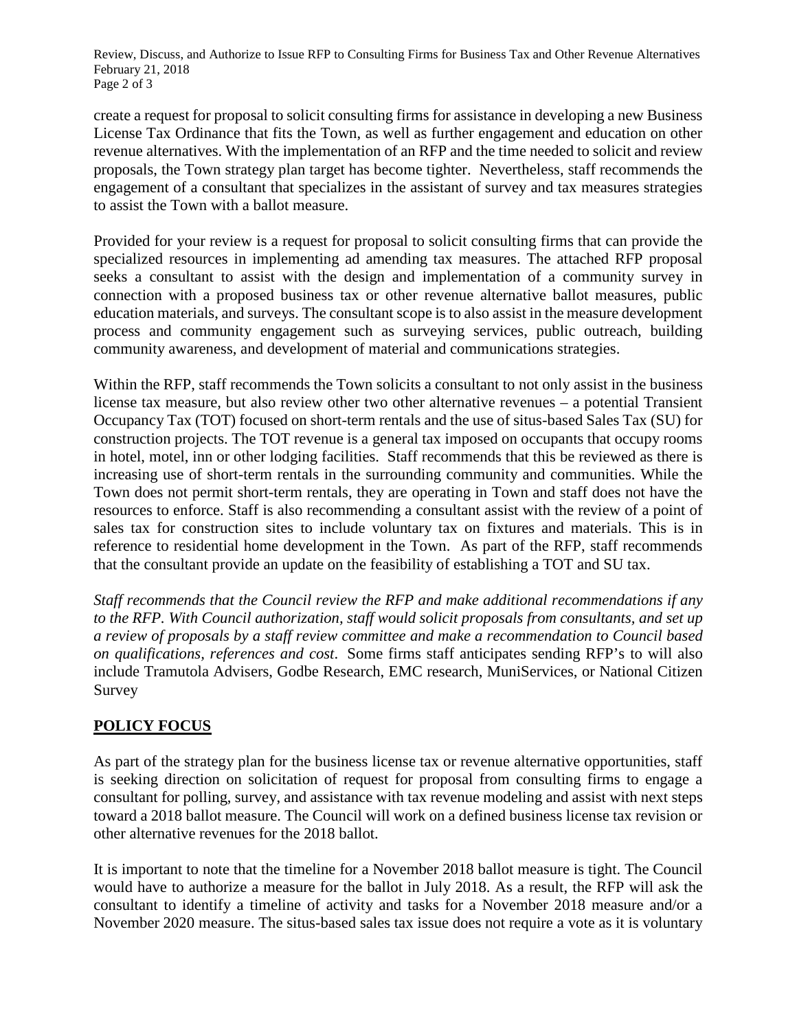Review, Discuss, and Authorize to Issue RFP to Consulting Firms for Business Tax and Other Revenue Alternatives February 21, 2018 Page 2 of 3

create a request for proposal to solicit consulting firms for assistance in developing a new Business License Tax Ordinance that fits the Town, as well as further engagement and education on other revenue alternatives. With the implementation of an RFP and the time needed to solicit and review proposals, the Town strategy plan target has become tighter. Nevertheless, staff recommends the engagement of a consultant that specializes in the assistant of survey and tax measures strategies to assist the Town with a ballot measure.

Provided for your review is a request for proposal to solicit consulting firms that can provide the specialized resources in implementing ad amending tax measures. The attached RFP proposal seeks a consultant to assist with the design and implementation of a community survey in connection with a proposed business tax or other revenue alternative ballot measures, public education materials, and surveys. The consultant scope is to also assist in the measure development process and community engagement such as surveying services, public outreach, building community awareness, and development of material and communications strategies.

Within the RFP, staff recommends the Town solicits a consultant to not only assist in the business license tax measure, but also review other two other alternative revenues – a potential Transient Occupancy Tax (TOT) focused on short-term rentals and the use of situs-based Sales Tax (SU) for construction projects. The TOT revenue is a general tax imposed on occupants that occupy rooms in hotel, motel, inn or other lodging facilities. Staff recommends that this be reviewed as there is increasing use of short-term rentals in the surrounding community and communities. While the Town does not permit short-term rentals, they are operating in Town and staff does not have the resources to enforce. Staff is also recommending a consultant assist with the review of a point of sales tax for construction sites to include voluntary tax on fixtures and materials. This is in reference to residential home development in the Town. As part of the RFP, staff recommends that the consultant provide an update on the feasibility of establishing a TOT and SU tax.

*Staff recommends that the Council review the RFP and make additional recommendations if any to the RFP. With Council authorization, staff would solicit proposals from consultants, and set up a review of proposals by a staff review committee and make a recommendation to Council based on qualifications, references and cost*. Some firms staff anticipates sending RFP's to will also include Tramutola Advisers, Godbe Research, EMC research, MuniServices, or National Citizen Survey

#### **POLICY FOCUS**

As part of the strategy plan for the business license tax or revenue alternative opportunities, staff is seeking direction on solicitation of request for proposal from consulting firms to engage a consultant for polling, survey, and assistance with tax revenue modeling and assist with next steps toward a 2018 ballot measure. The Council will work on a defined business license tax revision or other alternative revenues for the 2018 ballot.

It is important to note that the timeline for a November 2018 ballot measure is tight. The Council would have to authorize a measure for the ballot in July 2018. As a result, the RFP will ask the consultant to identify a timeline of activity and tasks for a November 2018 measure and/or a November 2020 measure. The situs-based sales tax issue does not require a vote as it is voluntary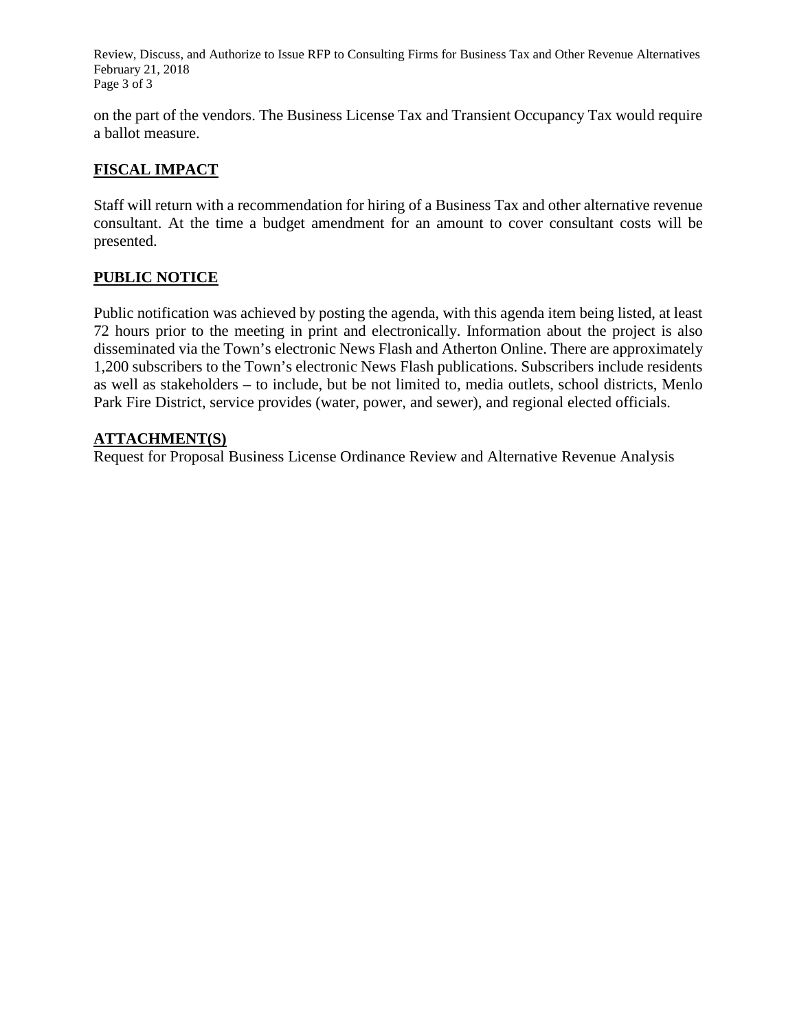Review, Discuss, and Authorize to Issue RFP to Consulting Firms for Business Tax and Other Revenue Alternatives February 21, 2018 Page 3 of 3

on the part of the vendors. The Business License Tax and Transient Occupancy Tax would require a ballot measure.

#### **FISCAL IMPACT**

Staff will return with a recommendation for hiring of a Business Tax and other alternative revenue consultant. At the time a budget amendment for an amount to cover consultant costs will be presented.

#### **PUBLIC NOTICE**

Public notification was achieved by posting the agenda, with this agenda item being listed, at least 72 hours prior to the meeting in print and electronically. Information about the project is also disseminated via the Town's electronic News Flash and Atherton Online. There are approximately 1,200 subscribers to the Town's electronic News Flash publications. Subscribers include residents as well as stakeholders – to include, but be not limited to, media outlets, school districts, Menlo Park Fire District, service provides (water, power, and sewer), and regional elected officials.

#### **ATTACHMENT(S)**

Request for Proposal Business License Ordinance Review and Alternative Revenue Analysis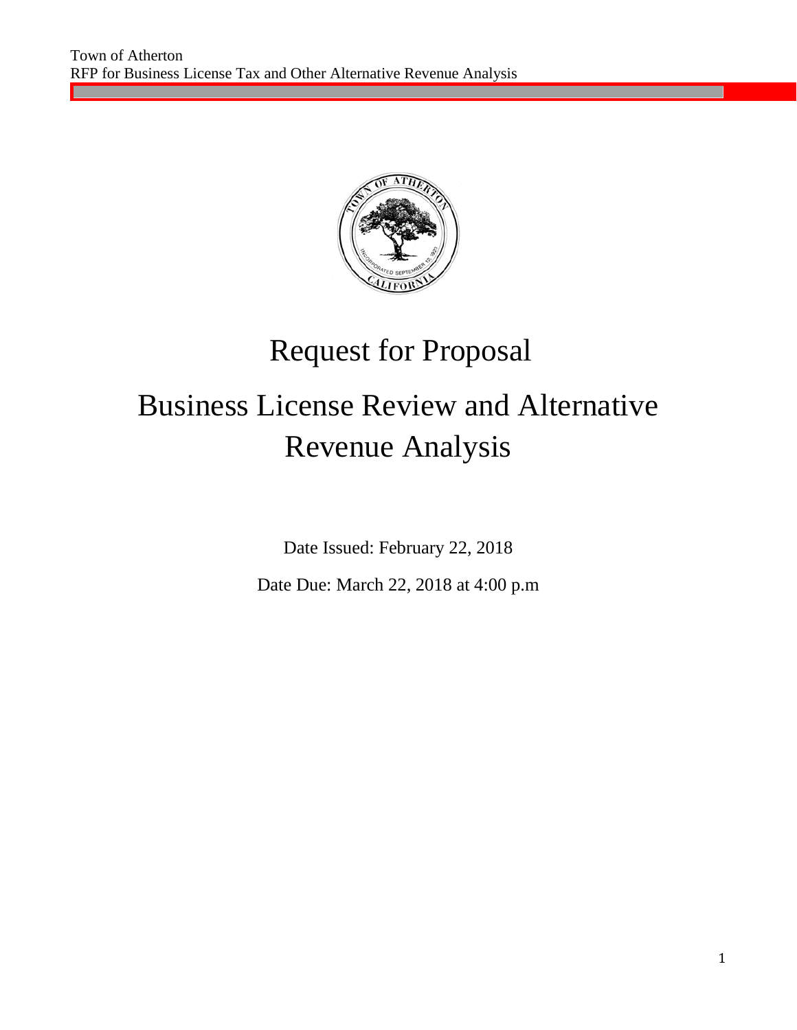

## Request for Proposal

# Business License Review and Alternative Revenue Analysis

Date Issued: February 22, 2018

Date Due: March 22, 2018 at 4:00 p.m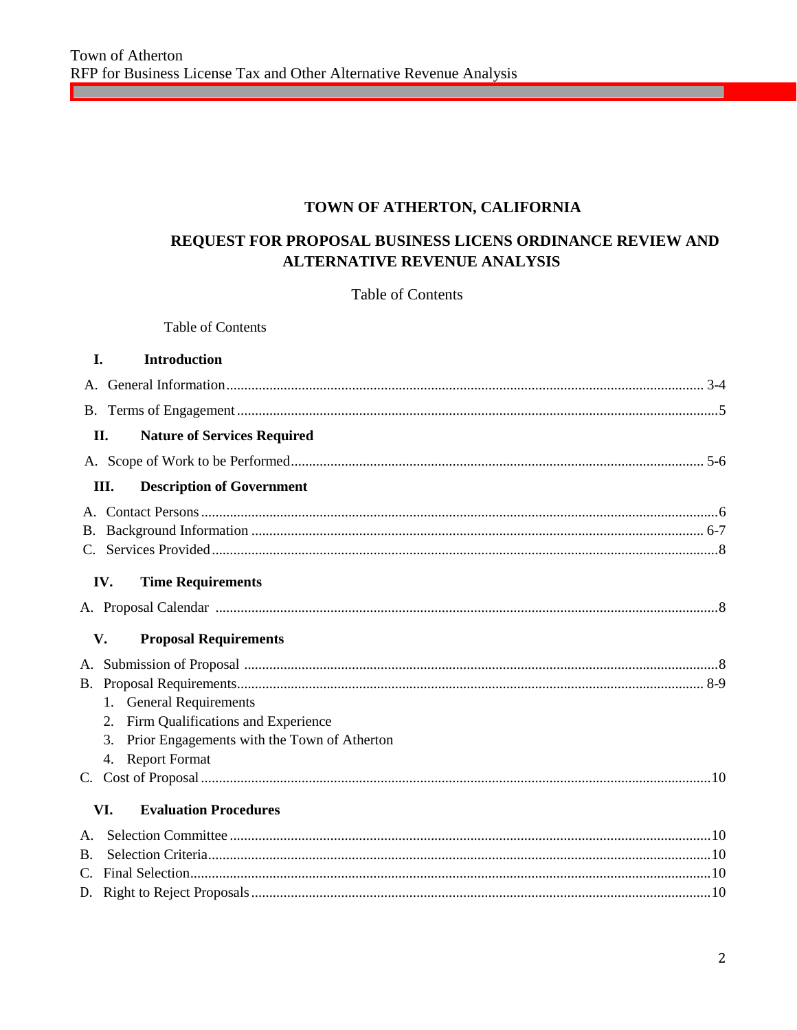#### TOWN OF ATHERTON, CALIFORNIA

#### REQUEST FOR PROPOSAL BUSINESS LICENS ORDINANCE REVIEW AND **ALTERNATIVE REVENUE ANALYSIS**

#### **Table of Contents**

Table of Contents

<u> Maria Alemania de San A</u>

| L.          | Introduction                                      |  |
|-------------|---------------------------------------------------|--|
|             |                                                   |  |
|             |                                                   |  |
|             | <b>Nature of Services Required</b><br>II.         |  |
|             |                                                   |  |
|             | <b>Description of Government</b><br>Ш.            |  |
|             |                                                   |  |
|             |                                                   |  |
|             |                                                   |  |
|             | <b>Time Requirements</b><br>IV.                   |  |
|             |                                                   |  |
|             |                                                   |  |
|             | V.<br><b>Proposal Requirements</b>                |  |
|             |                                                   |  |
|             |                                                   |  |
|             | 1. General Requirements                           |  |
|             | 2. Firm Qualifications and Experience             |  |
|             | Prior Engagements with the Town of Atherton<br>3. |  |
|             | 4. Report Format                                  |  |
|             |                                                   |  |
|             | VI.<br><b>Evaluation Procedures</b>               |  |
| $A_{\cdot}$ |                                                   |  |
| <b>B.</b>   |                                                   |  |
|             |                                                   |  |
|             |                                                   |  |

<u> 1989 - Johann Barnett, fransk politik (</u>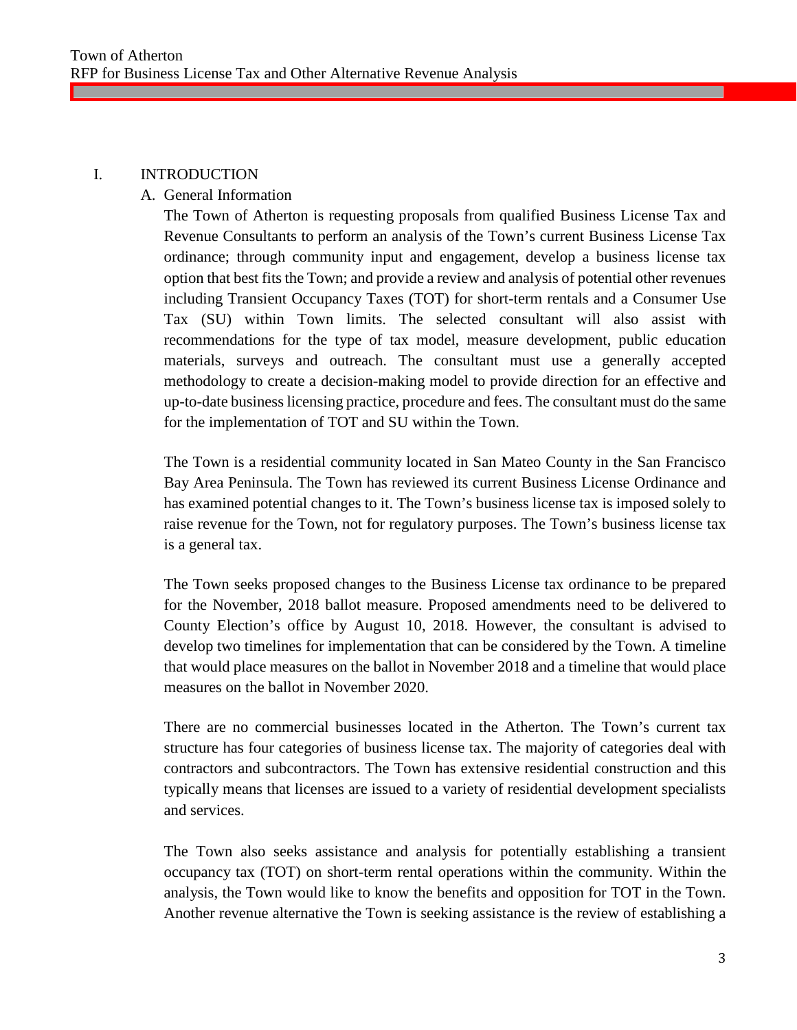#### I. INTRODUCTION

#### A. General Information

The Town of Atherton is requesting proposals from qualified Business License Tax and Revenue Consultants to perform an analysis of the Town's current Business License Tax ordinance; through community input and engagement, develop a business license tax option that best fits the Town; and provide a review and analysis of potential other revenues including Transient Occupancy Taxes (TOT) for short-term rentals and a Consumer Use Tax (SU) within Town limits. The selected consultant will also assist with recommendations for the type of tax model, measure development, public education materials, surveys and outreach. The consultant must use a generally accepted methodology to create a decision-making model to provide direction for an effective and up-to-date business licensing practice, procedure and fees. The consultant must do the same for the implementation of TOT and SU within the Town.

The Town is a residential community located in San Mateo County in the San Francisco Bay Area Peninsula. The Town has reviewed its current Business License Ordinance and has examined potential changes to it. The Town's business license tax is imposed solely to raise revenue for the Town, not for regulatory purposes. The Town's business license tax is a general tax.

The Town seeks proposed changes to the Business License tax ordinance to be prepared for the November, 2018 ballot measure. Proposed amendments need to be delivered to County Election's office by August 10, 2018. However, the consultant is advised to develop two timelines for implementation that can be considered by the Town. A timeline that would place measures on the ballot in November 2018 and a timeline that would place measures on the ballot in November 2020.

There are no commercial businesses located in the Atherton. The Town's current tax structure has four categories of business license tax. The majority of categories deal with contractors and subcontractors. The Town has extensive residential construction and this typically means that licenses are issued to a variety of residential development specialists and services.

The Town also seeks assistance and analysis for potentially establishing a transient occupancy tax (TOT) on short-term rental operations within the community. Within the analysis, the Town would like to know the benefits and opposition for TOT in the Town. Another revenue alternative the Town is seeking assistance is the review of establishing a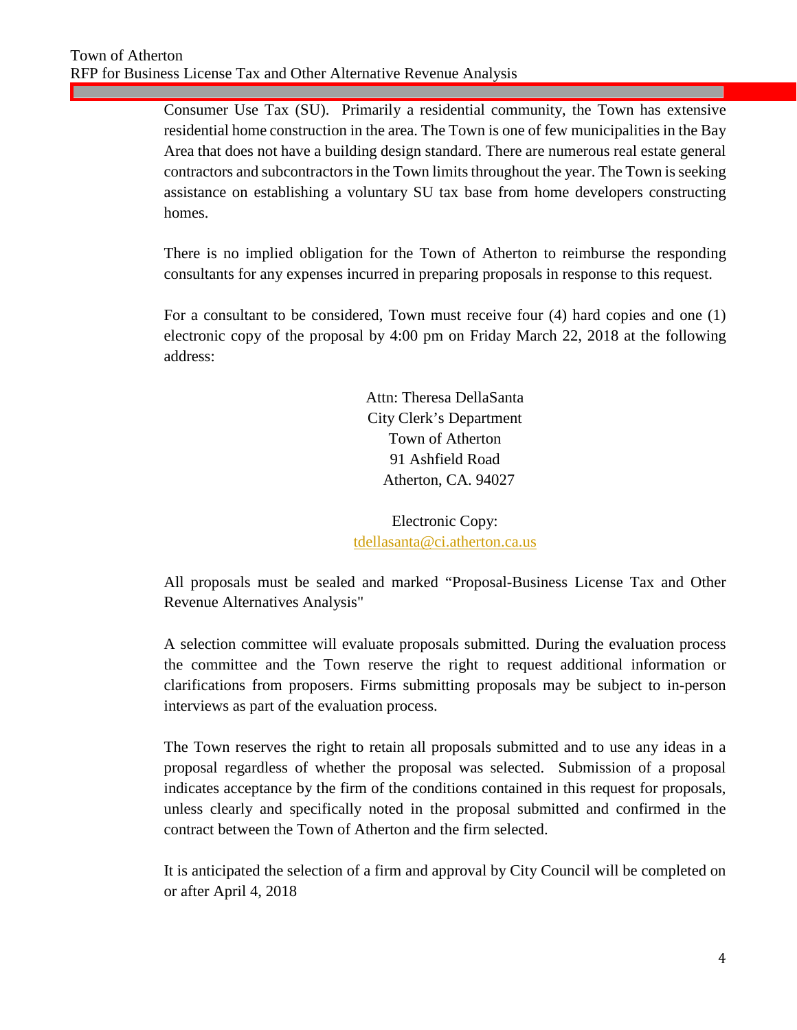Consumer Use Tax (SU). Primarily a residential community, the Town has extensive residential home construction in the area. The Town is one of few municipalities in the Bay Area that does not have a building design standard. There are numerous real estate general contractors and subcontractors in the Town limits throughout the year. The Town is seeking assistance on establishing a voluntary SU tax base from home developers constructing homes.

There is no implied obligation for the Town of Atherton to reimburse the responding consultants for any expenses incurred in preparing proposals in response to this request.

For a consultant to be considered, Town must receive four (4) hard copies and one (1) electronic copy of the proposal by 4:00 pm on Friday March 22, 2018 at the following address:

> Attn: Theresa DellaSanta City Clerk's Department Town of Atherton 91 Ashfield Road Atherton, CA. 94027

Electronic Copy: [tdellasanta@ci.atherton.ca.us](mailto:tdellasanta@ci.atherton.ca.us)

All proposals must be sealed and marked "Proposal-Business License Tax and Other Revenue Alternatives Analysis"

A selection committee will evaluate proposals submitted. During the evaluation process the committee and the Town reserve the right to request additional information or clarifications from proposers. Firms submitting proposals may be subject to in-person interviews as part of the evaluation process.

The Town reserves the right to retain all proposals submitted and to use any ideas in a proposal regardless of whether the proposal was selected. Submission of a proposal indicates acceptance by the firm of the conditions contained in this request for proposals, unless clearly and specifically noted in the proposal submitted and confirmed in the contract between the Town of Atherton and the firm selected.

It is anticipated the selection of a firm and approval by City Council will be completed on or after April 4, 2018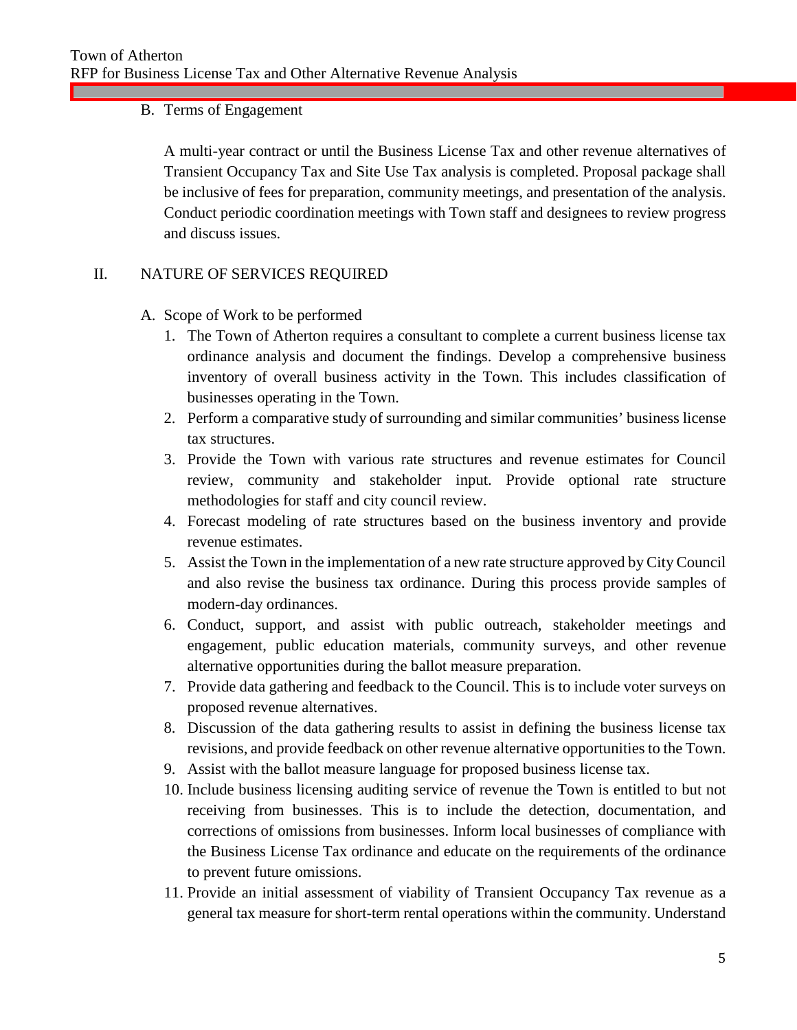#### B. Terms of Engagement

A multi-year contract or until the Business License Tax and other revenue alternatives of Transient Occupancy Tax and Site Use Tax analysis is completed. Proposal package shall be inclusive of fees for preparation, community meetings, and presentation of the analysis. Conduct periodic coordination meetings with Town staff and designees to review progress and discuss issues.

#### II. NATURE OF SERVICES REQUIRED

- A. Scope of Work to be performed
	- 1. The Town of Atherton requires a consultant to complete a current business license tax ordinance analysis and document the findings. Develop a comprehensive business inventory of overall business activity in the Town. This includes classification of businesses operating in the Town.
	- 2. Perform a comparative study of surrounding and similar communities' business license tax structures.
	- 3. Provide the Town with various rate structures and revenue estimates for Council review, community and stakeholder input. Provide optional rate structure methodologies for staff and city council review.
	- 4. Forecast modeling of rate structures based on the business inventory and provide revenue estimates.
	- 5. Assist the Town in the implementation of a new rate structure approved by City Council and also revise the business tax ordinance. During this process provide samples of modern-day ordinances.
	- 6. Conduct, support, and assist with public outreach, stakeholder meetings and engagement, public education materials, community surveys, and other revenue alternative opportunities during the ballot measure preparation.
	- 7. Provide data gathering and feedback to the Council. This is to include voter surveys on proposed revenue alternatives.
	- 8. Discussion of the data gathering results to assist in defining the business license tax revisions, and provide feedback on other revenue alternative opportunities to the Town.
	- 9. Assist with the ballot measure language for proposed business license tax.
	- 10. Include business licensing auditing service of revenue the Town is entitled to but not receiving from businesses. This is to include the detection, documentation, and corrections of omissions from businesses. Inform local businesses of compliance with the Business License Tax ordinance and educate on the requirements of the ordinance to prevent future omissions.
	- 11. Provide an initial assessment of viability of Transient Occupancy Tax revenue as a general tax measure for short-term rental operations within the community. Understand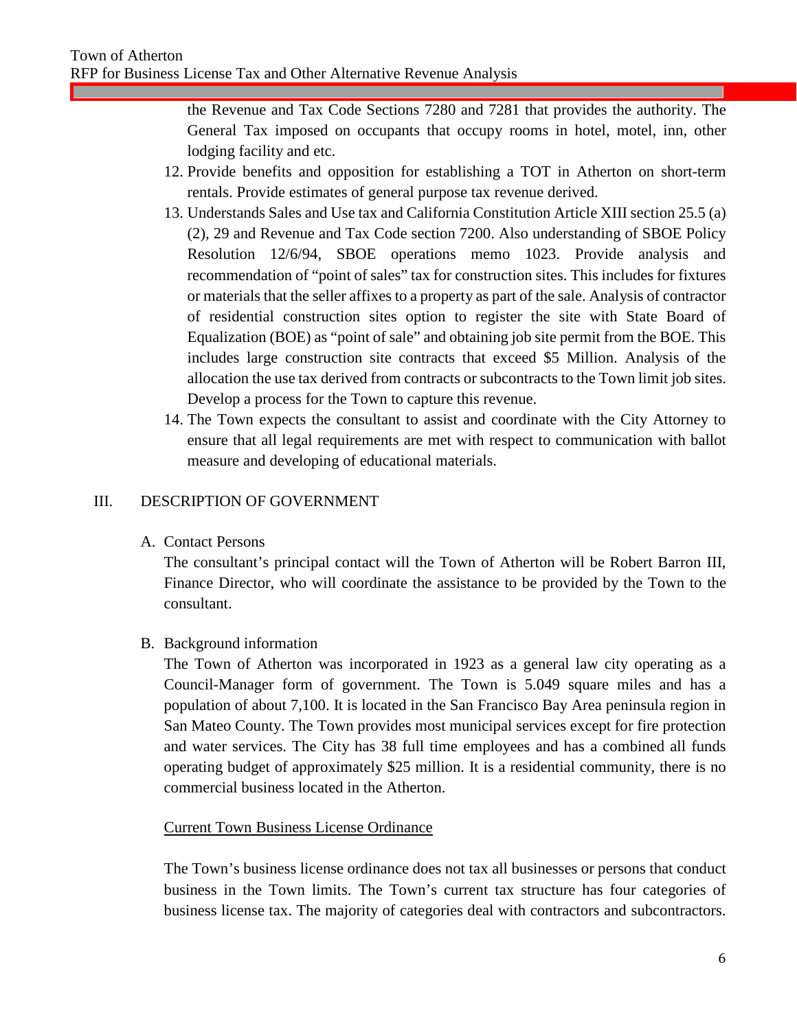the Revenue and Tax Code Sections 7280 and 7281 that provides the authority. The General Tax imposed on occupants that occupy rooms in hotel, motel, inn, other lodging facility and etc.

- 12. Provide benefits and opposition for establishing a TOT in Atherton on short-term rentals. Provide estimates of general purpose tax revenue derived.
- 13. Understands Sales and Use tax and California Constitution Article XIII section 25.5 (a) (2), 29 and Revenue and Tax Code section 7200. Also understanding of SBOE Policy Resolution 12/6/94, SBOE operations memo 1023. Provide analysis and recommendation of "point of sales" tax for construction sites. This includes for fixtures or materials that the seller affixes to a property as part of the sale. Analysis of contractor of residential construction sites option to register the site with State Board of Equalization (BOE) as "point of sale" and obtaining job site permit from the BOE. This includes large construction site contracts that exceed \$5 Million. Analysis of the allocation the use tax derived from contracts or subcontracts to the Town limit job sites. Develop a process for the Town to capture this revenue.
- 14. The Town expects the consultant to assist and coordinate with the City Attorney to ensure that all legal requirements are met with respect to communication with ballot measure and developing of educational materials.

#### III. DESCRIPTION OF GOVERNMENT

A. Contact Persons

The consultant's principal contact will the Town of Atherton will be Robert Barron III, Finance Director, who will coordinate the assistance to be provided by the Town to the consultant.

#### B. Background information

The Town of Atherton was incorporated in 1923 as a general law city operating as a Council-Manager form of government. The Town is 5.049 square miles and has a population of about 7,100. It is located in the San Francisco Bay Area peninsula region in San Mateo County. The Town provides most municipal services except for fire protection and water services. The City has 38 full time employees and has a combined all funds operating budget of approximately \$25 million. It is a residential community, there is no commercial business located in the Atherton.

#### Current Town Business License Ordinance

The Town's business license ordinance does not tax all businesses or persons that conduct business in the Town limits. The Town's current tax structure has four categories of business license tax. The majority of categories deal with contractors and subcontractors.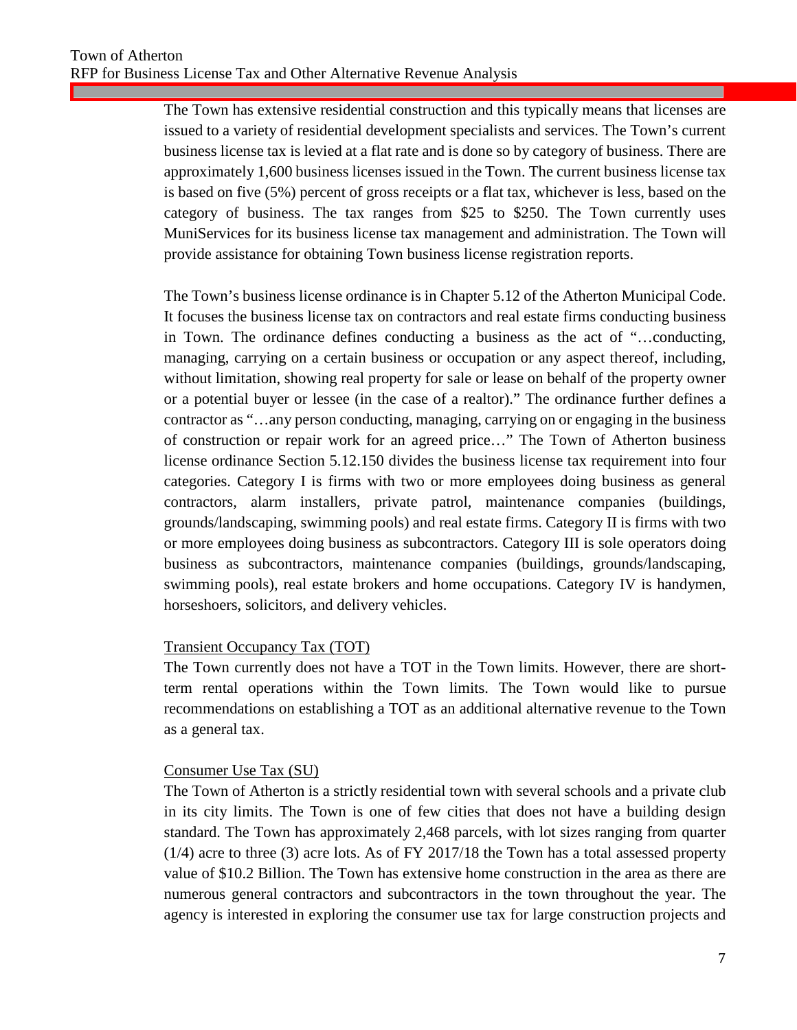The Town has extensive residential construction and this typically means that licenses are issued to a variety of residential development specialists and services. The Town's current business license tax is levied at a flat rate and is done so by category of business. There are approximately 1,600 business licenses issued in the Town. The current business license tax is based on five (5%) percent of gross receipts or a flat tax, whichever is less, based on the category of business. The tax ranges from \$25 to \$250. The Town currently uses MuniServices for its business license tax management and administration. The Town will provide assistance for obtaining Town business license registration reports.

The Town's business license ordinance is in Chapter 5.12 of the Atherton Municipal Code. It focuses the business license tax on contractors and real estate firms conducting business in Town. The ordinance defines conducting a business as the act of "…conducting, managing, carrying on a certain business or occupation or any aspect thereof, including, without limitation, showing real property for sale or lease on behalf of the property owner or a potential buyer or lessee (in the case of a realtor)." The ordinance further defines a contractor as "…any person conducting, managing, carrying on or engaging in the business of construction or repair work for an agreed price…" The Town of Atherton business license ordinance Section 5.12.150 divides the business license tax requirement into four categories. Category I is firms with two or more employees doing business as general contractors, alarm installers, private patrol, maintenance companies (buildings, grounds/landscaping, swimming pools) and real estate firms. Category II is firms with two or more employees doing business as subcontractors. Category III is sole operators doing business as subcontractors, maintenance companies (buildings, grounds/landscaping, swimming pools), real estate brokers and home occupations. Category IV is handymen, horseshoers, solicitors, and delivery vehicles.

#### Transient Occupancy Tax (TOT)

The Town currently does not have a TOT in the Town limits. However, there are shortterm rental operations within the Town limits. The Town would like to pursue recommendations on establishing a TOT as an additional alternative revenue to the Town as a general tax.

#### Consumer Use Tax (SU)

The Town of Atherton is a strictly residential town with several schools and a private club in its city limits. The Town is one of few cities that does not have a building design standard. The Town has approximately 2,468 parcels, with lot sizes ranging from quarter (1/4) acre to three (3) acre lots. As of FY 2017/18 the Town has a total assessed property value of \$10.2 Billion. The Town has extensive home construction in the area as there are numerous general contractors and subcontractors in the town throughout the year. The agency is interested in exploring the consumer use tax for large construction projects and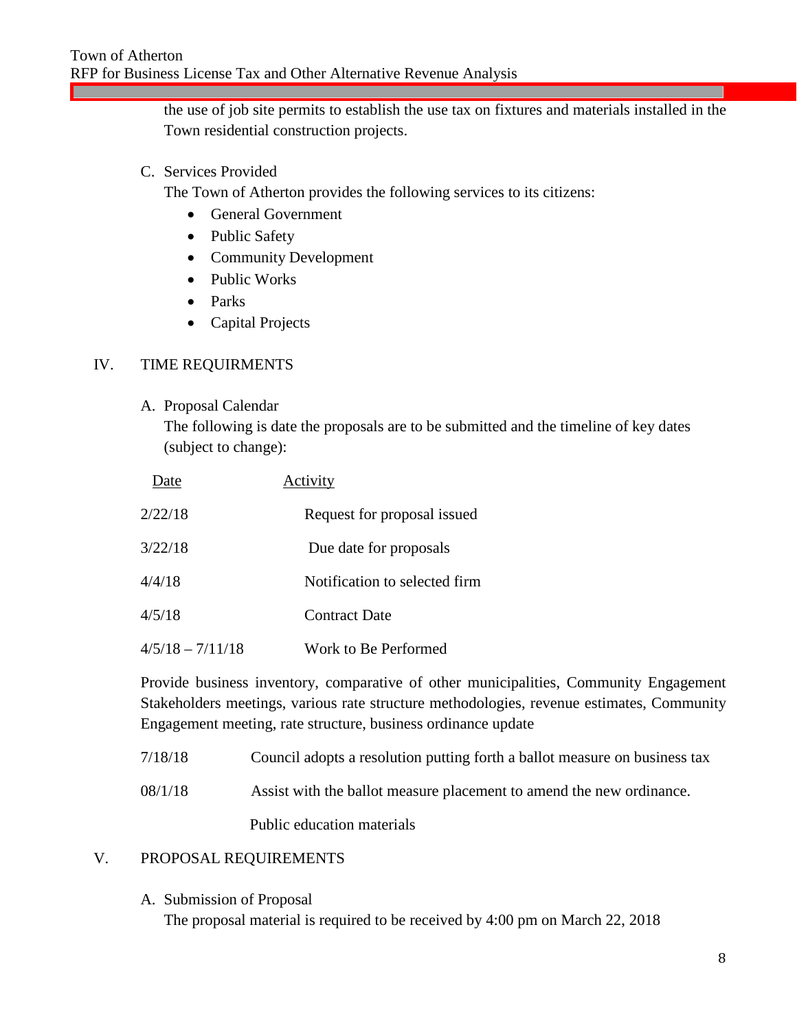the use of job site permits to establish the use tax on fixtures and materials installed in the Town residential construction projects.

#### C. Services Provided

The Town of Atherton provides the following services to its citizens:

- General Government
- Public Safety
- Community Development
- Public Works
- Parks
- Capital Projects

#### IV. TIME REQUIRMENTS

A. Proposal Calendar

The following is date the proposals are to be submitted and the timeline of key dates (subject to change):

| Date               | Activity                      |
|--------------------|-------------------------------|
| 2/22/18            | Request for proposal issued   |
| 3/22/18            | Due date for proposals        |
| 4/4/18             | Notification to selected firm |
| 4/5/18             | <b>Contract Date</b>          |
| $4/5/18 - 7/11/18$ | Work to Be Performed          |

Provide business inventory, comparative of other municipalities, Community Engagement Stakeholders meetings, various rate structure methodologies, revenue estimates, Community Engagement meeting, rate structure, business ordinance update

- 7/18/18 Council adopts a resolution putting forth a ballot measure on business tax
- 08/1/18 Assist with the ballot measure placement to amend the new ordinance.

Public education materials

#### V. PROPOSAL REQUIREMENTS

A. Submission of Proposal The proposal material is required to be received by 4:00 pm on March 22, 2018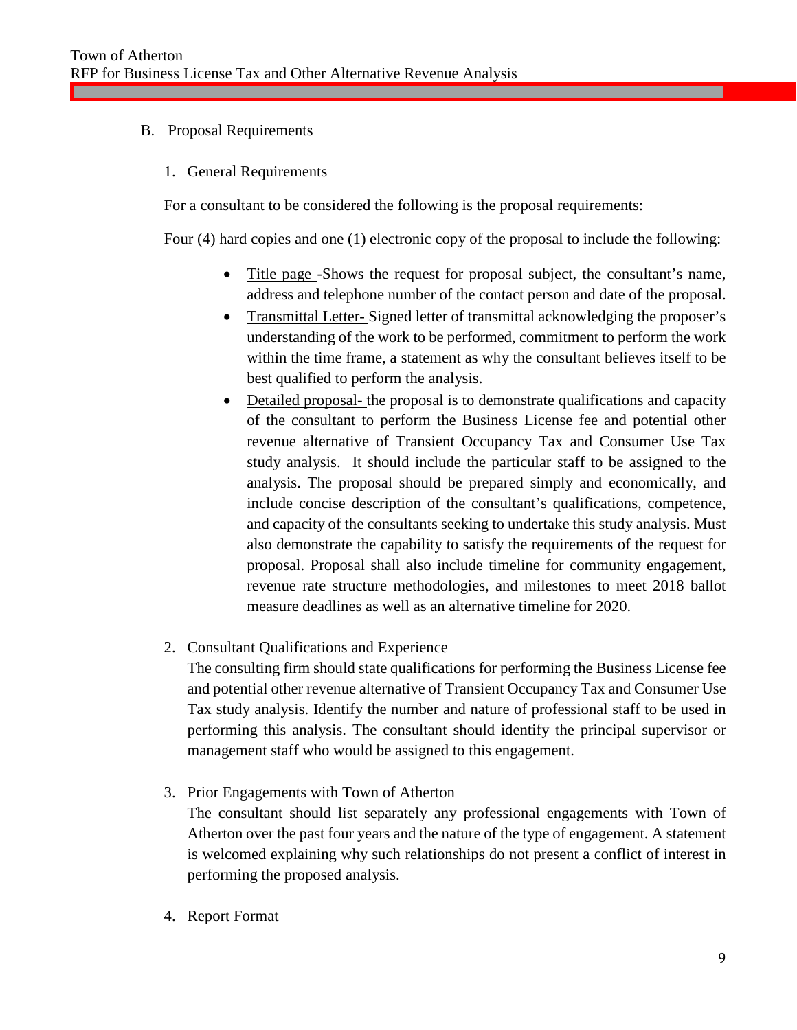- B. Proposal Requirements
	- 1. General Requirements

For a consultant to be considered the following is the proposal requirements:

Four (4) hard copies and one (1) electronic copy of the proposal to include the following:

- Title page -Shows the request for proposal subject, the consultant's name, address and telephone number of the contact person and date of the proposal.
- Transmittal Letter- Signed letter of transmittal acknowledging the proposer's understanding of the work to be performed, commitment to perform the work within the time frame, a statement as why the consultant believes itself to be best qualified to perform the analysis.
- Detailed proposal- the proposal is to demonstrate qualifications and capacity of the consultant to perform the Business License fee and potential other revenue alternative of Transient Occupancy Tax and Consumer Use Tax study analysis. It should include the particular staff to be assigned to the analysis. The proposal should be prepared simply and economically, and include concise description of the consultant's qualifications, competence, and capacity of the consultants seeking to undertake this study analysis. Must also demonstrate the capability to satisfy the requirements of the request for proposal. Proposal shall also include timeline for community engagement, revenue rate structure methodologies, and milestones to meet 2018 ballot measure deadlines as well as an alternative timeline for 2020.
- 2. Consultant Qualifications and Experience

The consulting firm should state qualifications for performing the Business License fee and potential other revenue alternative of Transient Occupancy Tax and Consumer Use Tax study analysis. Identify the number and nature of professional staff to be used in performing this analysis. The consultant should identify the principal supervisor or management staff who would be assigned to this engagement.

3. Prior Engagements with Town of Atherton

The consultant should list separately any professional engagements with Town of Atherton over the past four years and the nature of the type of engagement. A statement is welcomed explaining why such relationships do not present a conflict of interest in performing the proposed analysis.

4. Report Format